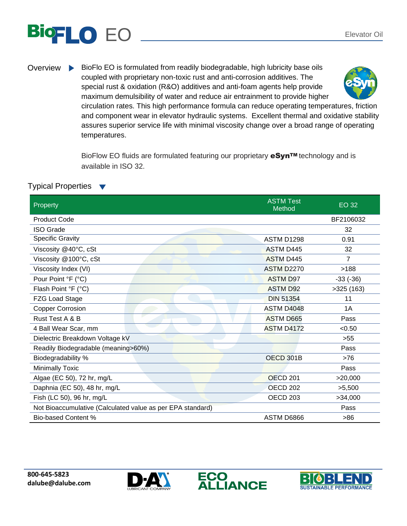## EO Elevator Oil

Overview BioFlo EO is formulated from readily biodegradable, high lubricity base oils coupled with proprietary non-toxic rust and anti-corrosion additives. The special rust & oxidation (R&O) additives and anti-foam agents help provide maximum demulsibility of water and reduce air entrainment to provide higher



circulation rates. This high performance formula can reduce operating temperatures, friction and component wear in elevator hydraulic systems. Excellent thermal and oxidative stability assures superior service life with minimal viscosity change over a broad range of operating temperatures.

BioFlow EO fluids are formulated featuring our proprietary eSyn™ technology and is available in ISO 32.

## Typical Properties  $\blacktriangledown$

| Property                                                   | <b>ASTM Test</b><br>Method | EO 32      |
|------------------------------------------------------------|----------------------------|------------|
| <b>Product Code</b>                                        |                            | BF2106032  |
| <b>ISO Grade</b>                                           |                            | 32         |
| <b>Specific Gravity</b>                                    | <b>ASTM D1298</b>          | 0.91       |
| Viscosity @40°C, cSt                                       | <b>ASTM D445</b>           | 32         |
| Viscosity @100°C, cSt                                      | <b>ASTM D445</b>           | 7          |
| Viscosity Index (VI)                                       | <b>ASTM D2270</b>          | >188       |
| Pour Point °F (°C)                                         | <b>ASTM D97</b>            | $-33(-36)$ |
| Flash Point °F (°C)                                        | <b>ASTM D92</b>            | >325(163)  |
| FZG Load Stage                                             | <b>DIN 51354</b>           | 11         |
| <b>Copper Corrosion</b>                                    | ASTM D4048                 | 1A         |
| Rust Test A & B                                            | <b>ASTM D665</b>           | Pass       |
| 4 Ball Wear Scar, mm                                       | <b>ASTM D4172</b>          | < 0.50     |
| Dielectric Breakdown Voltage kV                            |                            | >55        |
| Readily Biodegradable (meaning>60%)                        |                            | Pass       |
| Biodegradability %                                         | OECD 301B                  | >76        |
| <b>Minimally Toxic</b>                                     |                            | Pass       |
| Algae (EC 50), 72 hr, mg/L                                 | <b>OECD 201</b>            | >20,000    |
| Daphnia (EC 50), 48 hr, mg/L                               | <b>OECD 202</b>            | >5,500     |
| Fish (LC 50), 96 hr, mg/L                                  | OECD <sub>203</sub>        | >34,000    |
| Not Bioaccumulative (Calculated value as per EPA standard) |                            | Pass       |
| <b>Bio-based Content %</b>                                 | ASTM D6866                 | >86        |